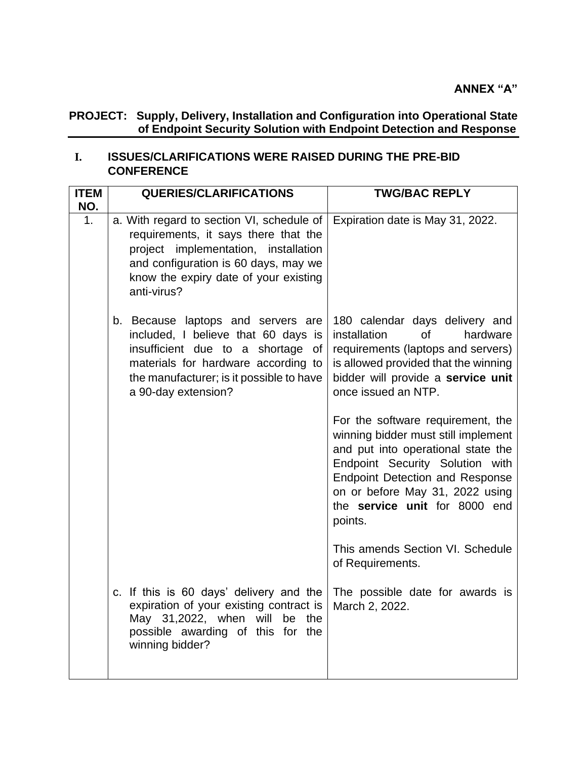## **PROJECT: Supply, Delivery, Installation and Configuration into Operational State of Endpoint Security Solution with Endpoint Detection and Response**

## **I. ISSUES/CLARIFICATIONS WERE RAISED DURING THE PRE-BID CONFERENCE**

| <b>ITEM</b><br>NO. | <b>QUERIES/CLARIFICATIONS</b>                                                                                                                                                                                             | <b>TWG/BAC REPLY</b>                                                                                                                                                                                                                                                       |
|--------------------|---------------------------------------------------------------------------------------------------------------------------------------------------------------------------------------------------------------------------|----------------------------------------------------------------------------------------------------------------------------------------------------------------------------------------------------------------------------------------------------------------------------|
| 1.                 | a. With regard to section VI, schedule of<br>requirements, it says there that the<br>project implementation, installation<br>and configuration is 60 days, may we<br>know the expiry date of your existing<br>anti-virus? | Expiration date is May 31, 2022.                                                                                                                                                                                                                                           |
|                    | b. Because laptops and servers are<br>included, I believe that 60 days is<br>insufficient due to a shortage of<br>materials for hardware according to<br>the manufacturer; is it possible to have<br>a 90-day extension?  | 180 calendar days delivery and<br>hardware<br>installation<br><b>of</b><br>requirements (laptops and servers)<br>is allowed provided that the winning<br>bidder will provide a service unit<br>once issued an NTP.                                                         |
|                    |                                                                                                                                                                                                                           | For the software requirement, the<br>winning bidder must still implement<br>and put into operational state the<br>Endpoint Security Solution with<br><b>Endpoint Detection and Response</b><br>on or before May 31, 2022 using<br>the service unit for 8000 end<br>points. |
|                    |                                                                                                                                                                                                                           | This amends Section VI. Schedule<br>of Requirements.                                                                                                                                                                                                                       |
|                    | c. If this is 60 days' delivery and the<br>expiration of your existing contract is<br>May 31,2022, when will<br>be the<br>possible awarding of this for the<br>winning bidder?                                            | The possible date for awards is<br>March 2, 2022.                                                                                                                                                                                                                          |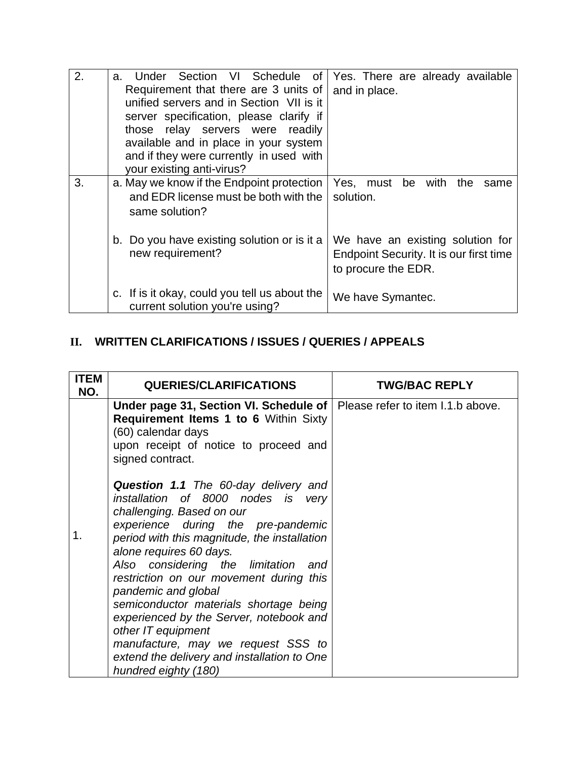| 2. | Under Section VI Schedule of Yes. There are already available<br>a. |                                         |
|----|---------------------------------------------------------------------|-----------------------------------------|
|    | Requirement that there are 3 units of                               | and in place.                           |
|    | unified servers and in Section VII is it                            |                                         |
|    | server specification, please clarify if                             |                                         |
|    | those relay servers were readily                                    |                                         |
|    | available and in place in your system                               |                                         |
|    | and if they were currently in used with                             |                                         |
|    | your existing anti-virus?                                           |                                         |
| 3. | a. May we know if the Endpoint protection                           | Yes, must be with<br>the<br>same        |
|    | and EDR license must be both with the                               | solution.                               |
|    | same solution?                                                      |                                         |
|    |                                                                     |                                         |
|    | b. Do you have existing solution or is it a                         | We have an existing solution for        |
|    | new requirement?                                                    | Endpoint Security. It is our first time |
|    |                                                                     | to procure the EDR.                     |
|    |                                                                     |                                         |
|    | c. If is it okay, could you tell us about the                       | We have Symantec.                       |
|    | current solution you're using?                                      |                                         |

## **II. WRITTEN CLARIFICATIONS / ISSUES / QUERIES / APPEALS**

| <b>ITEM</b><br>NO. | <b>QUERIES/CLARIFICATIONS</b>                                                                                                                                                                                                                                                                                                                                                                                                                                                                                                                                                                                                                                                 | <b>TWG/BAC REPLY</b> |
|--------------------|-------------------------------------------------------------------------------------------------------------------------------------------------------------------------------------------------------------------------------------------------------------------------------------------------------------------------------------------------------------------------------------------------------------------------------------------------------------------------------------------------------------------------------------------------------------------------------------------------------------------------------------------------------------------------------|----------------------|
| 1.                 | Under page 31, Section VI. Schedule of $\vert$ Please refer to item I.1.b above.<br><b>Requirement Items 1 to 6 Within Sixty</b><br>(60) calendar days<br>upon receipt of notice to proceed and<br>signed contract.<br><b>Question 1.1</b> The 60-day delivery and<br>installation of 8000 nodes is very<br>challenging. Based on our<br>experience during the pre-pandemic<br>period with this magnitude, the installation<br>alone requires 60 days.<br>Also considering the limitation<br>and<br>restriction on our movement during this<br>pandemic and global<br>semiconductor materials shortage being<br>experienced by the Server, notebook and<br>other IT equipment |                      |
|                    | manufacture, may we request SSS to<br>extend the delivery and installation to One<br>hundred eighty (180)                                                                                                                                                                                                                                                                                                                                                                                                                                                                                                                                                                     |                      |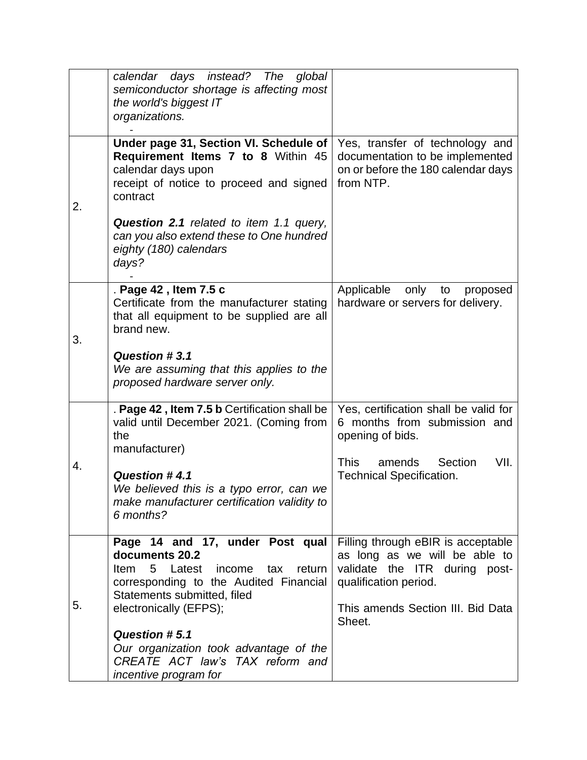|    | calendar days instead? The<br>global<br>semiconductor shortage is affecting most<br>the world's biggest IT<br>organizations.                                                     |                                                                                                                               |
|----|----------------------------------------------------------------------------------------------------------------------------------------------------------------------------------|-------------------------------------------------------------------------------------------------------------------------------|
| 2. | Under page 31, Section VI. Schedule of<br>Requirement Items 7 to 8 Within 45<br>calendar days upon<br>receipt of notice to proceed and signed<br>contract                        | Yes, transfer of technology and<br>documentation to be implemented<br>on or before the 180 calendar days<br>from NTP.         |
|    | <b>Question 2.1</b> related to item 1.1 query,<br>can you also extend these to One hundred<br>eighty (180) calendars<br>days?                                                    |                                                                                                                               |
| 3. | . Page 42, Item 7.5 c<br>Certificate from the manufacturer stating<br>that all equipment to be supplied are all<br>brand new.                                                    | Applicable<br>only<br>to<br>proposed<br>hardware or servers for delivery.                                                     |
|    | Question #3.1<br>We are assuming that this applies to the<br>proposed hardware server only.                                                                                      |                                                                                                                               |
| 4. | . Page 42, Item 7.5 b Certification shall be<br>valid until December 2021. (Coming from<br>the<br>manufacturer)                                                                  | Yes, certification shall be valid for<br>6 months from submission and<br>opening of bids.                                     |
|    | Question #4.1<br>We believed this is a typo error, can we<br>make manufacturer certification validity to<br>6 months?                                                            | VII.<br><b>This</b><br>Section<br>amends<br><b>Technical Specification.</b>                                                   |
| 5. | Page 14 and 17, under Post qual<br>documents 20.2<br>5 Latest<br><b>Item</b><br>income<br>return<br>tax<br>corresponding to the Audited Financial<br>Statements submitted, filed | Filling through eBIR is acceptable<br>as long as we will be able to<br>validate the ITR during post-<br>qualification period. |
|    | electronically (EFPS);                                                                                                                                                           | This amends Section III. Bid Data<br>Sheet.                                                                                   |
|    | Question #5.1<br>Our organization took advantage of the<br>CREATE ACT law's TAX reform and<br>incentive program for                                                              |                                                                                                                               |